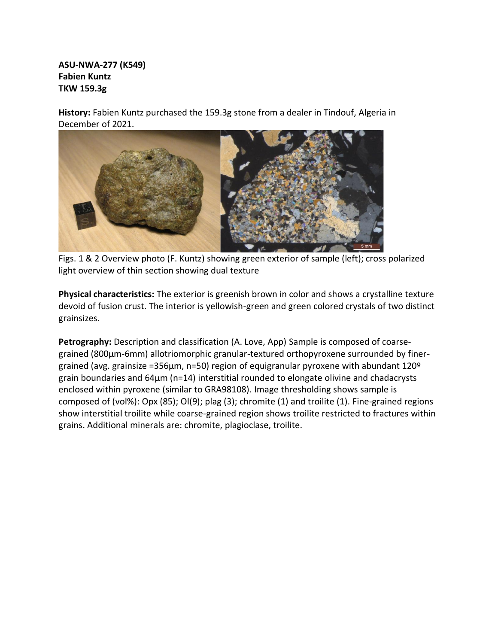## **ASU-NWA-277 (K549) Fabien Kuntz TKW 159.3g**

**History:** Fabien Kuntz purchased the 159.3g stone from a dealer in Tindouf, Algeria in December of 2021.



Figs. 1 & 2 Overview photo (F. Kuntz) showing green exterior of sample (left); cross polarized light overview of thin section showing dual texture

**Physical characteristics:** The exterior is greenish brown in color and shows a crystalline texture devoid of fusion crust. The interior is yellowish-green and green colored crystals of two distinct grainsizes.

**Petrography:** Description and classification (A. Love, App) Sample is composed of coarsegrained (800µm-6mm) allotriomorphic granular-textured orthopyroxene surrounded by finergrained (avg. grainsize =356µm, n=50) region of equigranular pyroxene with abundant 120º grain boundaries and 64µm (n=14) interstitial rounded to elongate olivine and chadacrysts enclosed within pyroxene (similar to GRA98108). Image thresholding shows sample is composed of (vol%): Opx (85); Ol(9); plag (3); chromite (1) and troilite (1). Fine-grained regions show interstitial troilite while coarse-grained region shows troilite restricted to fractures within grains. Additional minerals are: chromite, plagioclase, troilite.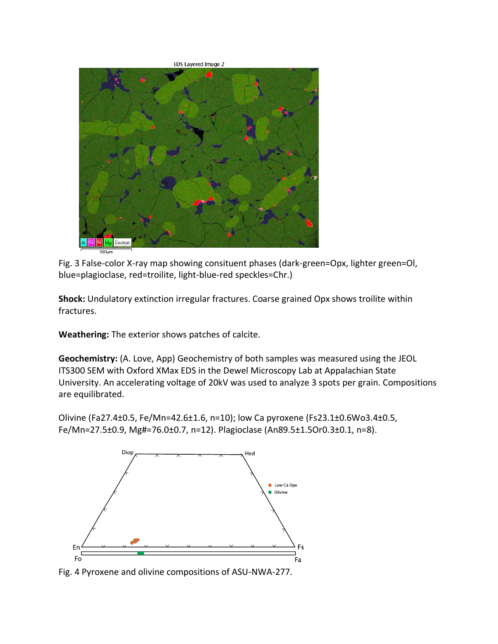**EDS Layered Image 2** Electro

Fig. 3 False-color X-ray map showing consituent phases (dark-green=Opx, lighter green=Ol, blue=plagioclase, red=troilite, light-blue-red speckles=Chr.)

**Shock:** Undulatory extinction irregular fractures. Coarse grained Opx shows troilite within fractures.

**Weathering:** The exterior shows patches of calcite.

**Geochemistry:** (A. Love, App) Geochemistry of both samples was measured using the JEOL ITS300 SEM with Oxford XMax EDS in the Dewel Microscopy Lab at Appalachian State University. An accelerating voltage of 20kV was used to analyze 3 spots per grain. Compositions are equilibrated.

Olivine (Fa27.4±0.5, Fe/Mn=42.6±1.6, n=10); low Ca pyroxene (Fs23.1±0.6Wo3.4±0.5, Fe/Mn=27.5±0.9, Mg#=76.0±0.7, n=12). Plagioclase (An89.5±1.5Or0.3±0.1, n=8).



Fig. 4 Pyroxene and olivine compositions of ASU-NWA-277.